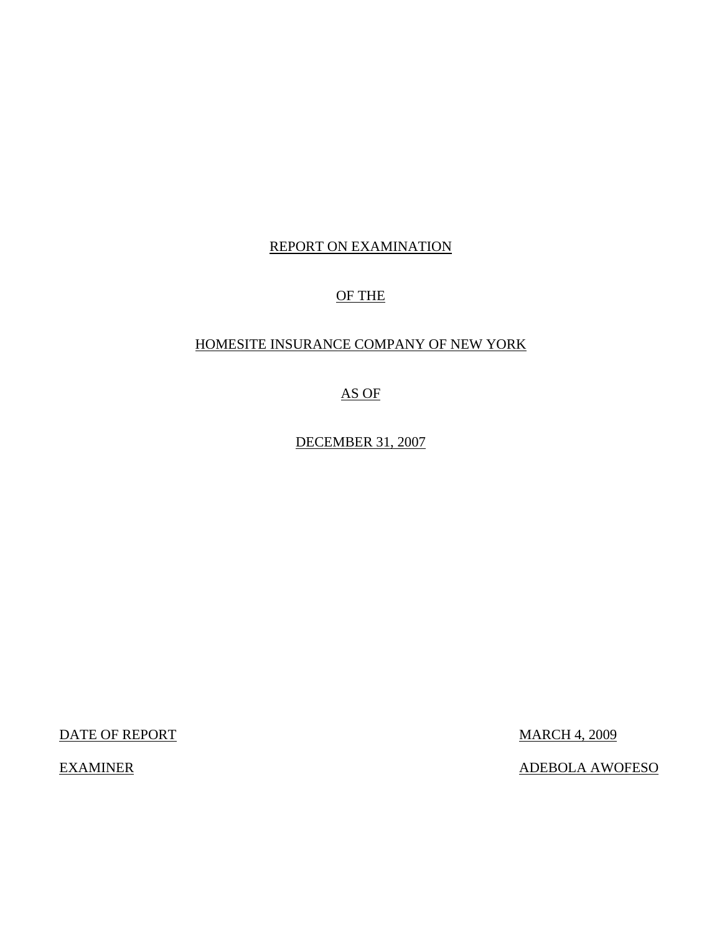# REPORT ON EXAMINATION

# OF THE

# HOMESITE INSURANCE COMPANY OF NEW YORK

AS OF

DECEMBER 31, 2007

DATE OF REPORT MARCH 4, 2009

EXAMINER ADEBOLA AWOFESO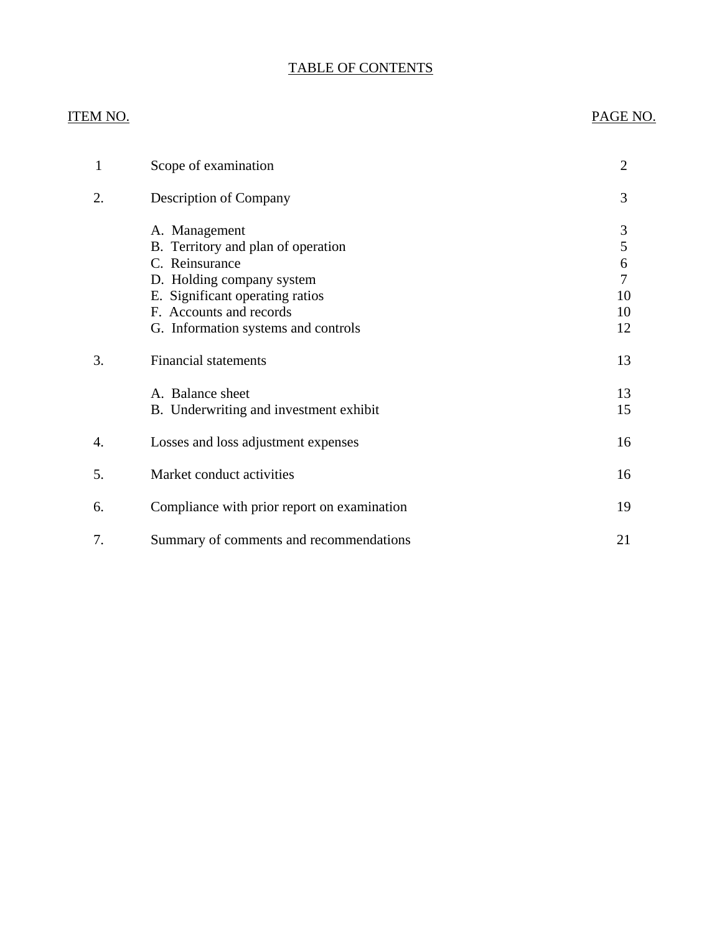# TABLE OF CONTENTS

# ITEM NO. PAGE NO.

| 1  | Scope of examination                                                                                                                                                                                    | $\overline{2}$                     |
|----|---------------------------------------------------------------------------------------------------------------------------------------------------------------------------------------------------------|------------------------------------|
| 2. | Description of Company                                                                                                                                                                                  | 3                                  |
|    | A. Management<br>B. Territory and plan of operation<br>C. Reinsurance<br>D. Holding company system<br>E. Significant operating ratios<br>F. Accounts and records<br>G. Information systems and controls | 3<br>5<br>6<br>7<br>10<br>10<br>12 |
| 3. | <b>Financial statements</b>                                                                                                                                                                             | 13                                 |
|    | A. Balance sheet<br>B. Underwriting and investment exhibit                                                                                                                                              | 13<br>15                           |
| 4. | Losses and loss adjustment expenses                                                                                                                                                                     | 16                                 |
| 5. | Market conduct activities                                                                                                                                                                               | 16                                 |
| 6. | Compliance with prior report on examination                                                                                                                                                             | 19                                 |
| 7. | Summary of comments and recommendations                                                                                                                                                                 | 21                                 |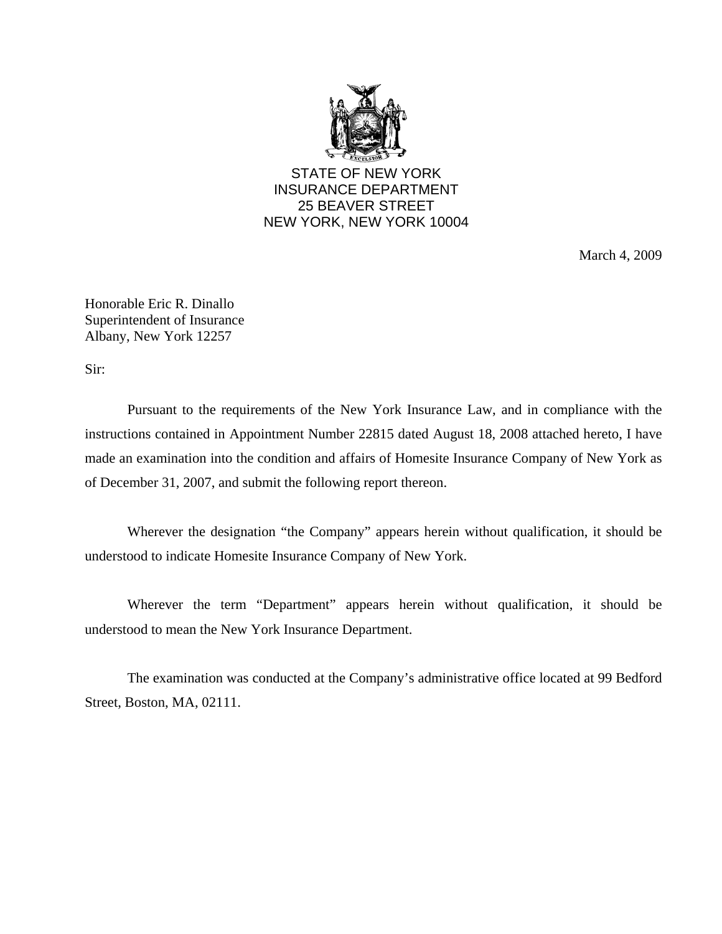

STATE OF NEW YORK INSURANCE DEPARTMENT 25 BEAVER STREET NEW YORK, NEW YORK 10004

March 4, 2009

Honorable Eric R. Dinallo Superintendent of Insurance Albany, New York 12257

Sir:

Pursuant to the requirements of the New York Insurance Law, and in compliance with the instructions contained in Appointment Number 22815 dated August 18, 2008 attached hereto, I have made an examination into the condition and affairs of Homesite Insurance Company of New York as of December 31, 2007, and submit the following report thereon.

Wherever the designation "the Company" appears herein without qualification, it should be understood to indicate Homesite Insurance Company of New York.

Wherever the term "Department" appears herein without qualification, it should be understood to mean the New York Insurance Department.

The examination was conducted at the Company's administrative office located at 99 Bedford Street, Boston, MA, 02111.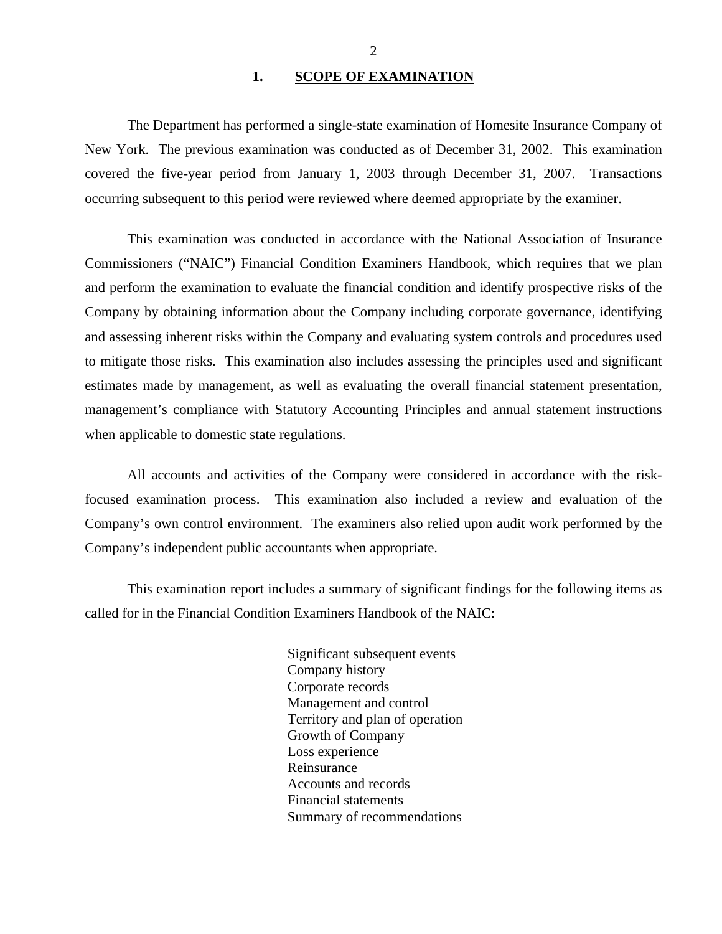#### 1. SCOPE OF EXAMINATION

<span id="page-3-0"></span>The Department has performed a single-state examination of Homesite Insurance Company of New York. The previous examination was conducted as of December 31, 2002. This examination covered the five-year period from January 1, 2003 through December 31, 2007. Transactions occurring subsequent to this period were reviewed where deemed appropriate by the examiner.

This examination was conducted in accordance with the National Association of Insurance Commissioners ("NAIC") Financial Condition Examiners Handbook, which requires that we plan and perform the examination to evaluate the financial condition and identify prospective risks of the Company by obtaining information about the Company including corporate governance, identifying and assessing inherent risks within the Company and evaluating system controls and procedures used to mitigate those risks. This examination also includes assessing the principles used and significant estimates made by management, as well as evaluating the overall financial statement presentation, management's compliance with Statutory Accounting Principles and annual statement instructions when applicable to domestic state regulations.

All accounts and activities of the Company were considered in accordance with the riskfocused examination process. This examination also included a review and evaluation of the Company's own control environment. The examiners also relied upon audit work performed by the Company's independent public accountants when appropriate.

This examination report includes a summary of significant findings for the following items as called for in the Financial Condition Examiners Handbook of the NAIC:

> Significant subsequent events Company history Corporate records Management and control Territory and plan of operation Growth of Company Loss experience Reinsurance Accounts and records Financial statements Summary of recommendations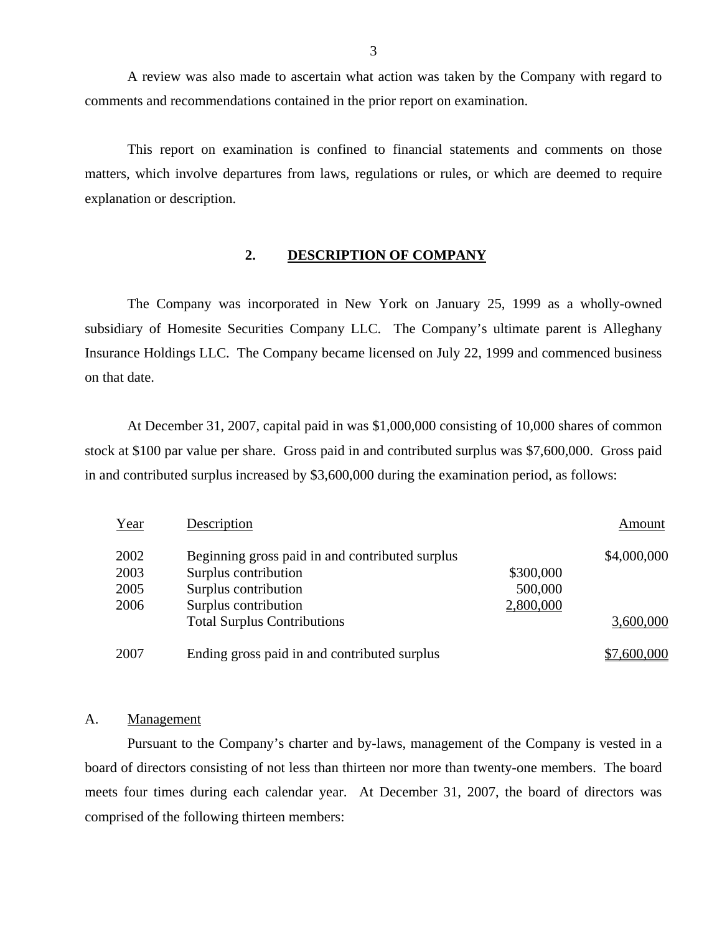A review was also made to ascertain what action was taken by the Company with regard to comments and recommendations contained in the prior report on examination.

This report on examination is confined to financial statements and comments on those matters, which involve departures from laws, regulations or rules, or which are deemed to require explanation or description.

#### **2. DESCRIPTION OF COMPANY**

The Company was incorporated in New York on January 25, 1999 as a wholly-owned subsidiary of Homesite Securities Company LLC. The Company's ultimate parent is Alleghany Insurance Holdings LLC. The Company became licensed on July 22, 1999 and commenced business on that date.

At December 31, 2007, capital paid in was \$1,000,000 consisting of 10,000 shares of common stock at \$100 par value per share. Gross paid in and contributed surplus was \$7,600,000. Gross paid in and contributed surplus increased by \$3,600,000 during the examination period, as follows:

| Year                         | Description                                                                                                             |                                   | Amount      |
|------------------------------|-------------------------------------------------------------------------------------------------------------------------|-----------------------------------|-------------|
| 2002<br>2003<br>2005<br>2006 | Beginning gross paid in and contributed surplus<br>Surplus contribution<br>Surplus contribution<br>Surplus contribution | \$300,000<br>500,000<br>2,800,000 | \$4,000,000 |
|                              | <b>Total Surplus Contributions</b>                                                                                      |                                   | 3,600,000   |
| 2007                         | Ending gross paid in and contributed surplus                                                                            |                                   | \$7,600,000 |

#### A. Management

Pursuant to the Company's charter and by-laws, management of the Company is vested in a board of directors consisting of not less than thirteen nor more than twenty-one members. The board meets four times during each calendar year. At December 31, 2007, the board of directors was comprised of the following thirteen members: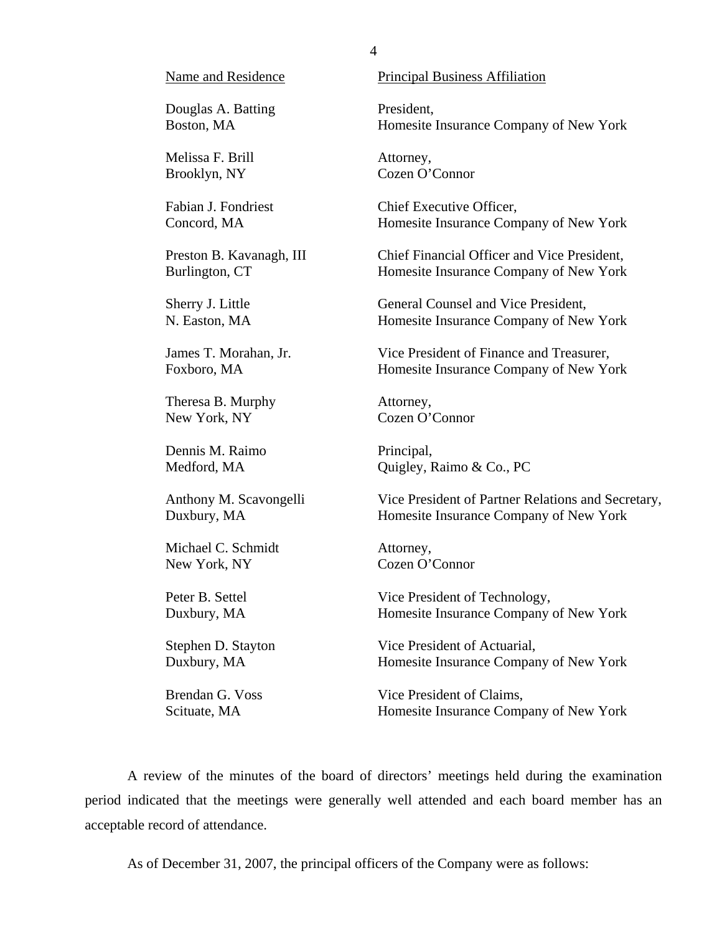Douglas A. Batting President,

Melissa F. Brill Attorney,

Theresa B. Murphy Attorney, New York, NY Cozen O'Connor

Dennis M. Raimo Principal,

Michael C. Schmidt Attorney, New York, NY Cozen O'Connor

Name and Residence **Principal Business Affiliation** 

Boston, MA **Homesite Insurance Company of New York** Homesite Insurance Company of New York

Brooklyn, NY Cozen O'Connor

Fabian J. Fondriest Chief Executive Officer, Concord, MA Homesite Insurance Company of New York

Preston B. Kavanagh, III Chief Financial Officer and Vice President, Burlington, CT Homesite Insurance Company of New York

Sherry J. Little General Counsel and Vice President, N. Easton, MA Homesite Insurance Company of New York

James T. Morahan, Jr. Vice President of Finance and Treasurer, Foxboro, MA Homesite Insurance Company of New York

Medford, MA Quigley, Raimo & Co., PC

Anthony M. Scavongelli Vice President of Partner Relations and Secretary, Duxbury, MA Homesite Insurance Company of New York

Peter B. Settel Vice President of Technology, Duxbury, MA Homesite Insurance Company of New York

Stephen D. Stayton Vice President of Actuarial, Duxbury, MA Homesite Insurance Company of New York

Brendan G. Voss Vice President of Claims, Scituate, MA Homesite Insurance Company of New York

A review of the minutes of the board of directors' meetings held during the examination period indicated that the meetings were generally well attended and each board member has an acceptable record of attendance.

As of December 31, 2007, the principal officers of the Company were as follows: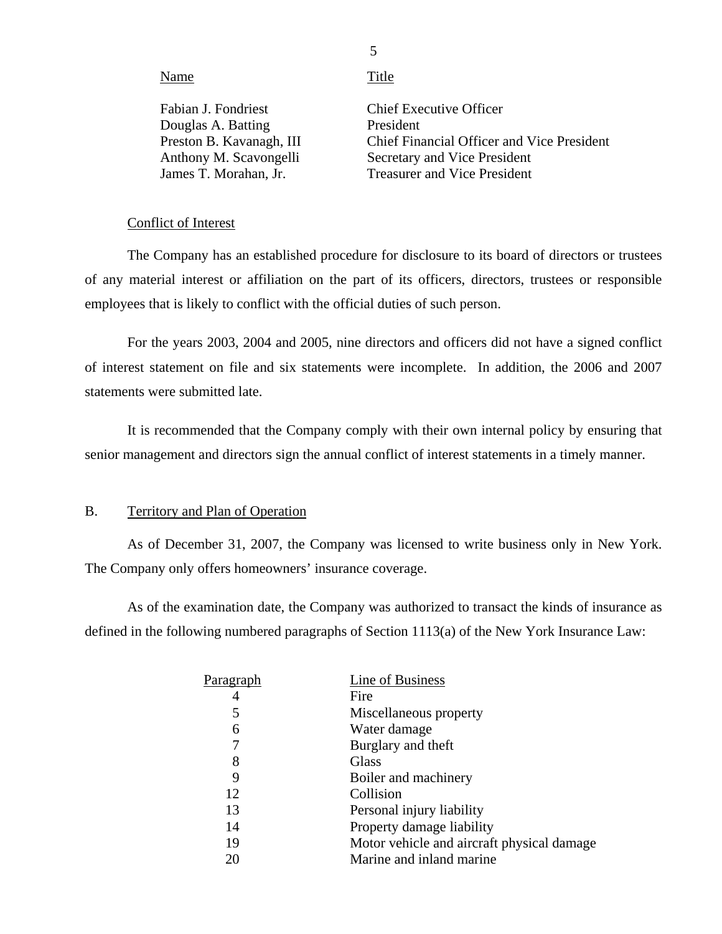Name Title

Fabian J. Fondriest Douglas A. Batting Preston B. Kavanagh, III Anthony M. Scavongelli James T. Morahan, Jr. President

Chief Executive Officer Chief Financial Officer and Vice President Secretary and Vice President Treasurer and Vice President

#### Conflict of Interest

The Company has an established procedure for disclosure to its board of directors or trustees of any material interest or affiliation on the part of its officers, directors, trustees or responsible employees that is likely to conflict with the official duties of such person.

For the years 2003, 2004 and 2005, nine directors and officers did not have a signed conflict of interest statement on file and six statements were incomplete. In addition, the 2006 and 2007 statements were submitted late.

It is recommended that the Company comply with their own internal policy by ensuring that senior management and directors sign the annual conflict of interest statements in a timely manner.

#### B. Territory and Plan of Operation

As of December 31, 2007, the Company was licensed to write business only in New York. The Company only offers homeowners' insurance coverage.

As of the examination date, the Company was authorized to transact the kinds of insurance as defined in the following numbered paragraphs of Section 1113(a) of the New York Insurance Law:

| Paragraph | Line of Business                           |
|-----------|--------------------------------------------|
|           | Fire                                       |
| 5         | Miscellaneous property                     |
| 6         | Water damage                               |
|           | Burglary and theft                         |
| 8         | Glass                                      |
| 9         | Boiler and machinery                       |
| 12        | Collision                                  |
| 13        | Personal injury liability                  |
| 14        | Property damage liability                  |
| 19        | Motor vehicle and aircraft physical damage |
| 20        | Marine and inland marine                   |
|           |                                            |

5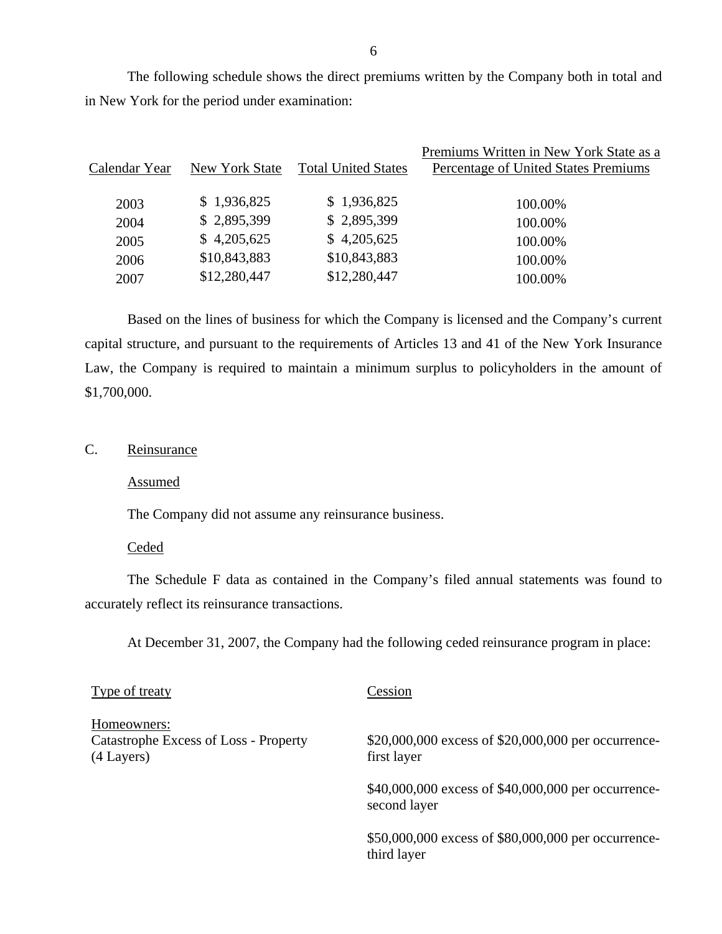The following schedule shows the direct premiums written by the Company both in total and in New York for the period under examination:

| Calendar Year | New York State | <b>Total United States</b> | Premiums Written in New York State as a<br>Percentage of United States Premiums |
|---------------|----------------|----------------------------|---------------------------------------------------------------------------------|
| 2003          | \$1,936,825    | \$1,936,825                | 100.00%                                                                         |
| 2004          | \$2,895,399    | \$2,895,399                | 100.00%                                                                         |
| 2005          | \$4,205,625    | \$4,205,625                | 100.00%                                                                         |
| 2006          | \$10,843,883   | \$10,843,883               | 100.00%                                                                         |
| 2007          | \$12,280,447   | \$12,280,447               | 100.00%                                                                         |
|               |                |                            |                                                                                 |

Based on the lines of business for which the Company is licensed and the Company's current capital structure, and pursuant to the requirements of Articles 13 and 41 of the New York Insurance Law, the Company is required to maintain a minimum surplus to policyholders in the amount of \$1,700,000.

# C. Reinsurance

Assumed

The Company did not assume any reinsurance business.

#### **Ceded**

The Schedule F data as contained in the Company's filed annual statements was found to accurately reflect its reinsurance transactions.

At December 31, 2007, the Company had the following ceded reinsurance program in place:

| Type of treaty                                                     | Cession                                                             |
|--------------------------------------------------------------------|---------------------------------------------------------------------|
| Homeowners:<br>Catastrophe Excess of Loss - Property<br>(4 Layers) | \$20,000,000 excess of \$20,000,000 per occurrence-<br>first layer  |
|                                                                    | \$40,000,000 excess of \$40,000,000 per occurrence-<br>second layer |
|                                                                    | \$50,000,000 excess of \$80,000,000 per occurrence-<br>third layer  |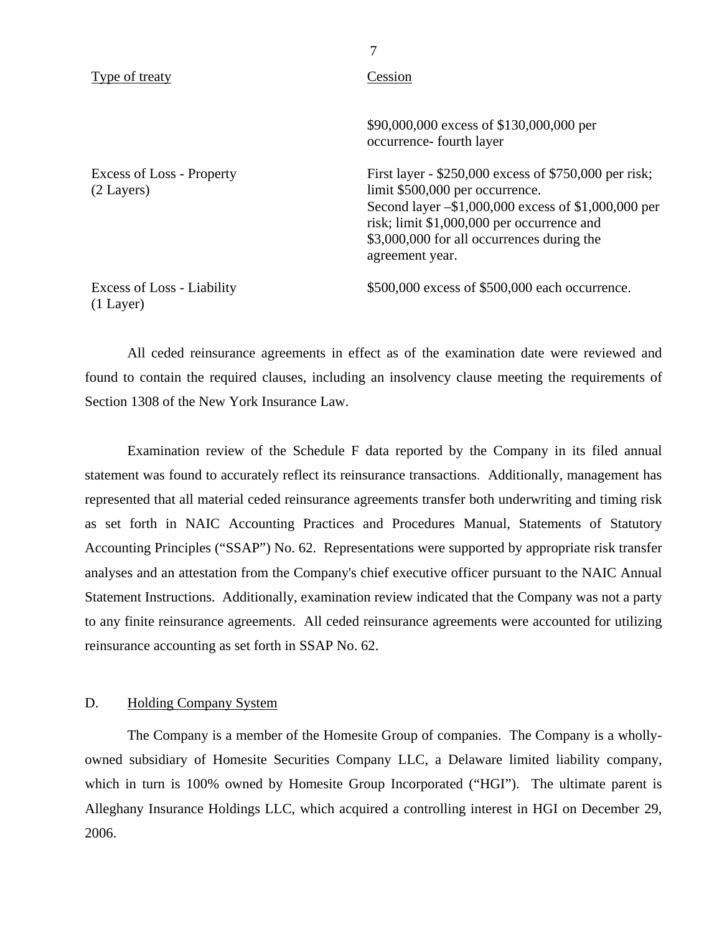<span id="page-8-0"></span>

| Type of treaty                                   | Cession                                                                                                                                                                                                                                                           |  |  |
|--------------------------------------------------|-------------------------------------------------------------------------------------------------------------------------------------------------------------------------------------------------------------------------------------------------------------------|--|--|
|                                                  | \$90,000,000 excess of \$130,000,000 per<br>occurrence-fourth layer                                                                                                                                                                                               |  |  |
| Excess of Loss - Property<br>$(2$ Layers)        | First layer - \$250,000 excess of \$750,000 per risk;<br>limit \$500,000 per occurrence.<br>Second layer $-$ \$1,000,000 excess of \$1,000,000 per<br>risk; limit \$1,000,000 per occurrence and<br>\$3,000,000 for all occurrences during the<br>agreement year. |  |  |
| <b>Excess of Loss - Liability</b><br>$(1$ Layer) | \$500,000 excess of \$500,000 each occurrence.                                                                                                                                                                                                                    |  |  |

7

All ceded reinsurance agreements in effect as of the examination date were reviewed and found to contain the required clauses, including an insolvency clause meeting the requirements of Section 1308 of the New York Insurance Law.

Examination review of the Schedule F data reported by the Company in its filed annual statement was found to accurately reflect its reinsurance transactions. Additionally, management has represented that all material ceded reinsurance agreements transfer both underwriting and timing risk as set forth in NAIC Accounting Practices and Procedures Manual, Statements of Statutory Accounting Principles ("SSAP") No. 62. Representations were supported by appropriate risk transfer analyses and an attestation from the Company's chief executive officer pursuant to the NAIC Annual Statement Instructions. Additionally, examination review indicated that the Company was not a party to any finite reinsurance agreements. All ceded reinsurance agreements were accounted for utilizing reinsurance accounting as set forth in SSAP No. 62.

#### D. Holding Company System

The Company is a member of the Homesite Group of companies. The Company is a whollyowned subsidiary of Homesite Securities Company LLC, a Delaware limited liability company, which in turn is 100% owned by Homesite Group Incorporated ("HGI"). The ultimate parent is Alleghany Insurance Holdings LLC, which acquired a controlling interest in HGI on December 29, 2006.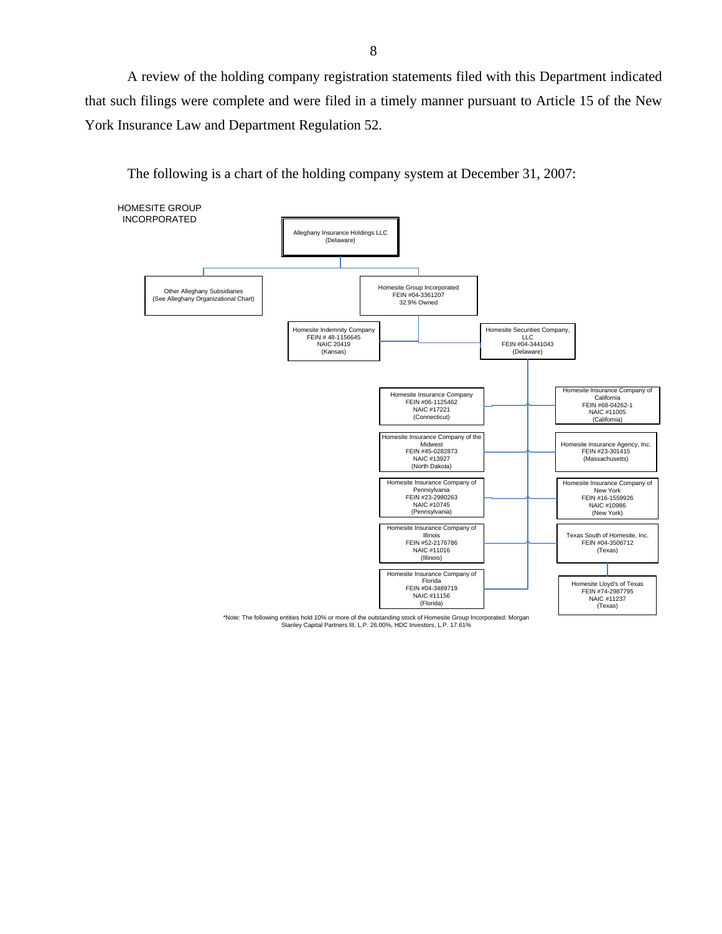A review of the holding company registration statements filed with this Department indicated that such filings were complete and were filed in a timely manner pursuant to Article 15 of the New York Insurance Law and Department Regulation 52.

The following is a chart of the holding company system at December 31, 2007:



\*Note: The following entities hold 10% or more of the outstanding stock of Homesite Group Incorporated: Morgan Stanley Capital Partners III, L.P. 26.00%, HDC Investors, L.P. 17.61%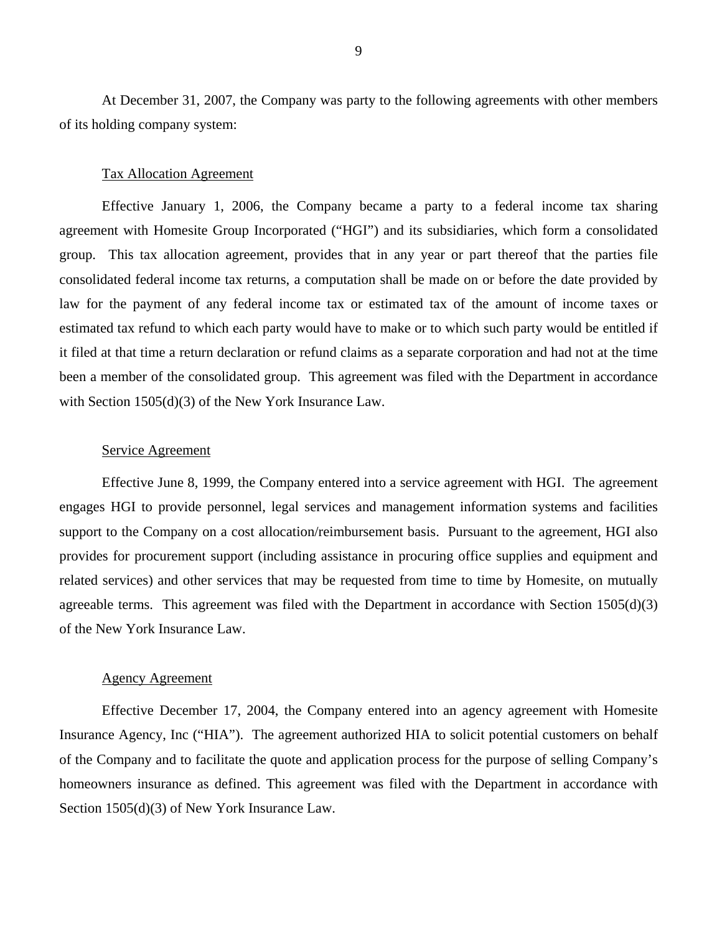At December 31, 2007, the Company was party to the following agreements with other members of its holding company system:

#### Tax Allocation Agreement

Effective January 1, 2006, the Company became a party to a federal income tax sharing agreement with Homesite Group Incorporated ("HGI") and its subsidiaries, which form a consolidated group. This tax allocation agreement, provides that in any year or part thereof that the parties file consolidated federal income tax returns, a computation shall be made on or before the date provided by law for the payment of any federal income tax or estimated tax of the amount of income taxes or estimated tax refund to which each party would have to make or to which such party would be entitled if it filed at that time a return declaration or refund claims as a separate corporation and had not at the time been a member of the consolidated group. This agreement was filed with the Department in accordance with Section 1505(d)(3) of the New York Insurance Law.

#### Service Agreement

Effective June 8, 1999, the Company entered into a service agreement with HGI. The agreement engages HGI to provide personnel, legal services and management information systems and facilities support to the Company on a cost allocation/reimbursement basis. Pursuant to the agreement, HGI also provides for procurement support (including assistance in procuring office supplies and equipment and related services) and other services that may be requested from time to time by Homesite, on mutually agreeable terms. This agreement was filed with the Department in accordance with Section 1505(d)(3) of the New York Insurance Law.

#### Agency Agreement

Effective December 17, 2004, the Company entered into an agency agreement with Homesite Insurance Agency, Inc ("HIA"). The agreement authorized HIA to solicit potential customers on behalf of the Company and to facilitate the quote and application process for the purpose of selling Company's homeowners insurance as defined. This agreement was filed with the Department in accordance with Section 1505(d)(3) of New York Insurance Law.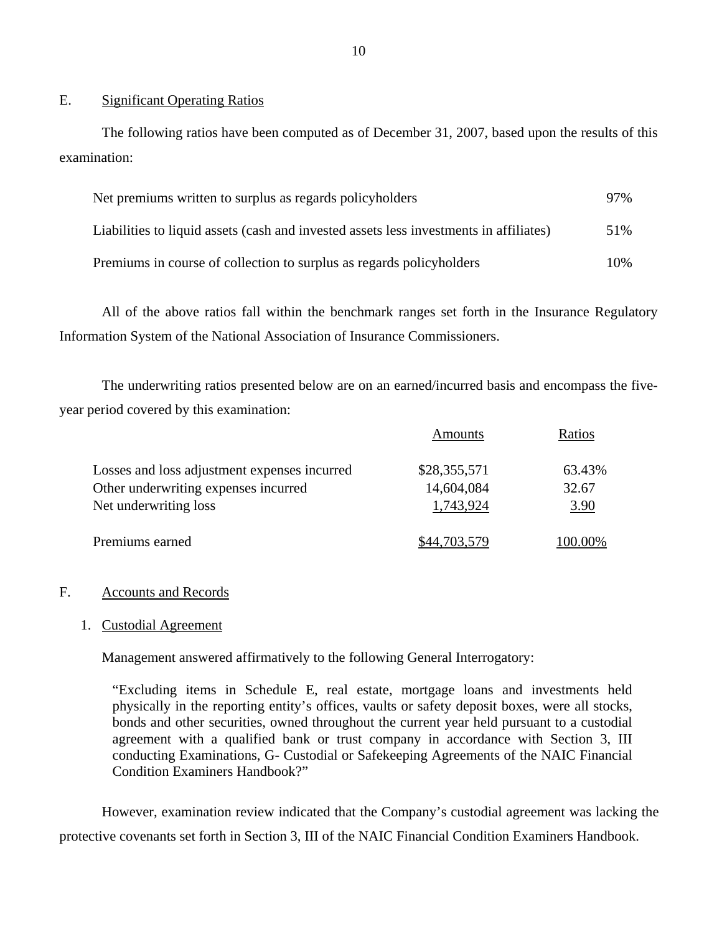#### E. Significant Operating Ratios

The following ratios have been computed as of December 31, 2007, based upon the results of this examination:

| Net premiums written to surplus as regards policyholders                               | 97% |
|----------------------------------------------------------------------------------------|-----|
| Liabilities to liquid assets (cash and invested assets less investments in affiliates) | 51% |
| Premiums in course of collection to surplus as regards policyholders                   | 10% |

All of the above ratios fall within the benchmark ranges set forth in the Insurance Regulatory Information System of the National Association of Insurance Commissioners.

The underwriting ratios presented below are on an earned/incurred basis and encompass the fiveyear period covered by this examination:

|                                              | Amounts           | Ratios |
|----------------------------------------------|-------------------|--------|
| Losses and loss adjustment expenses incurred | \$28,355,571      | 63.43% |
| Other underwriting expenses incurred         | 14,604,084        | 32.67  |
| Net underwriting loss                        | 1,743,924         | 3.90   |
| Premiums earned                              | <u>44.703.579</u> | 00.00% |

### F. Accounts and Records

### 1. Custodial Agreement

Management answered affirmatively to the following General Interrogatory:

"Excluding items in Schedule E, real estate, mortgage loans and investments held physically in the reporting entity's offices, vaults or safety deposit boxes, were all stocks, bonds and other securities, owned throughout the current year held pursuant to a custodial agreement with a qualified bank or trust company in accordance with Section 3, III conducting Examinations, G- Custodial or Safekeeping Agreements of the NAIC Financial Condition Examiners Handbook?"

However, examination review indicated that the Company's custodial agreement was lacking the protective covenants set forth in Section 3, III of the NAIC Financial Condition Examiners Handbook.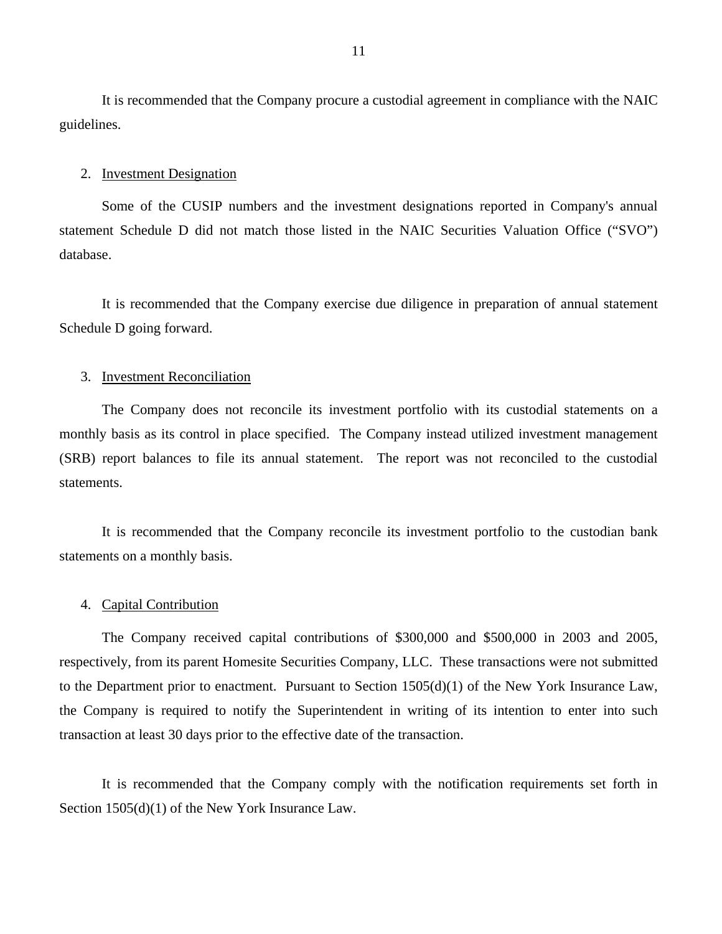It is recommended that the Company procure a custodial agreement in compliance with the NAIC guidelines.

#### 2. Investment Designation

Some of the CUSIP numbers and the investment designations reported in Company's annual statement Schedule D did not match those listed in the NAIC Securities Valuation Office ("SVO") database.

It is recommended that the Company exercise due diligence in preparation of annual statement Schedule D going forward.

#### 3. Investment Reconciliation

The Company does not reconcile its investment portfolio with its custodial statements on a monthly basis as its control in place specified. The Company instead utilized investment management (SRB) report balances to file its annual statement. The report was not reconciled to the custodial statements.

It is recommended that the Company reconcile its investment portfolio to the custodian bank statements on a monthly basis.

#### 4. Capital Contribution

The Company received capital contributions of \$300,000 and \$500,000 in 2003 and 2005, respectively, from its parent Homesite Securities Company, LLC. These transactions were not submitted to the Department prior to enactment. Pursuant to Section 1505(d)(1) of the New York Insurance Law, the Company is required to notify the Superintendent in writing of its intention to enter into such transaction at least 30 days prior to the effective date of the transaction.

It is recommended that the Company comply with the notification requirements set forth in Section 1505(d)(1) of the New York Insurance Law.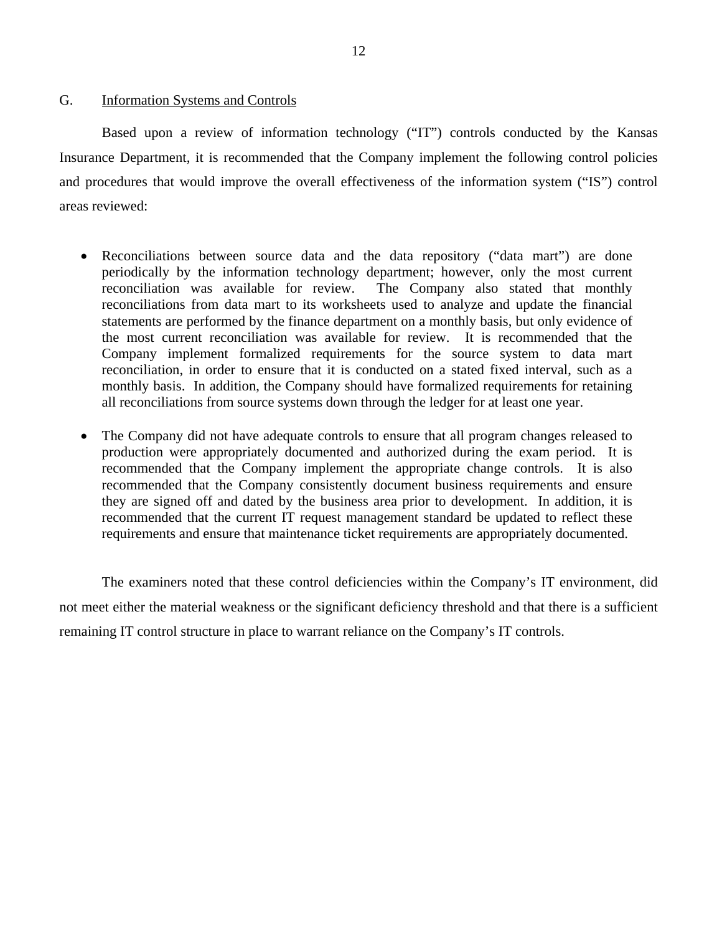#### <span id="page-13-0"></span>G. Information Systems and Controls

Based upon a review of information technology ("IT") controls conducted by the Kansas Insurance Department, it is recommended that the Company implement the following control policies and procedures that would improve the overall effectiveness of the information system ("IS") control areas reviewed:

- Reconciliations between source data and the data repository ("data mart") are done periodically by the information technology department; however, only the most current reconciliation was available for review. The Company also stated that monthly reconciliations from data mart to its worksheets used to analyze and update the financial statements are performed by the finance department on a monthly basis, but only evidence of the most current reconciliation was available for review. It is recommended that the Company implement formalized requirements for the source system to data mart reconciliation, in order to ensure that it is conducted on a stated fixed interval, such as a monthly basis. In addition, the Company should have formalized requirements for retaining all reconciliations from source systems down through the ledger for at least one year.
- The Company did not have adequate controls to ensure that all program changes released to production were appropriately documented and authorized during the exam period. It is recommended that the Company implement the appropriate change controls. It is also recommended that the Company consistently document business requirements and ensure they are signed off and dated by the business area prior to development. In addition, it is recommended that the current IT request management standard be updated to reflect these requirements and ensure that maintenance ticket requirements are appropriately documented.

The examiners noted that these control deficiencies within the Company's IT environment, did not meet either the material weakness or the significant deficiency threshold and that there is a sufficient remaining IT control structure in place to warrant reliance on the Company's IT controls.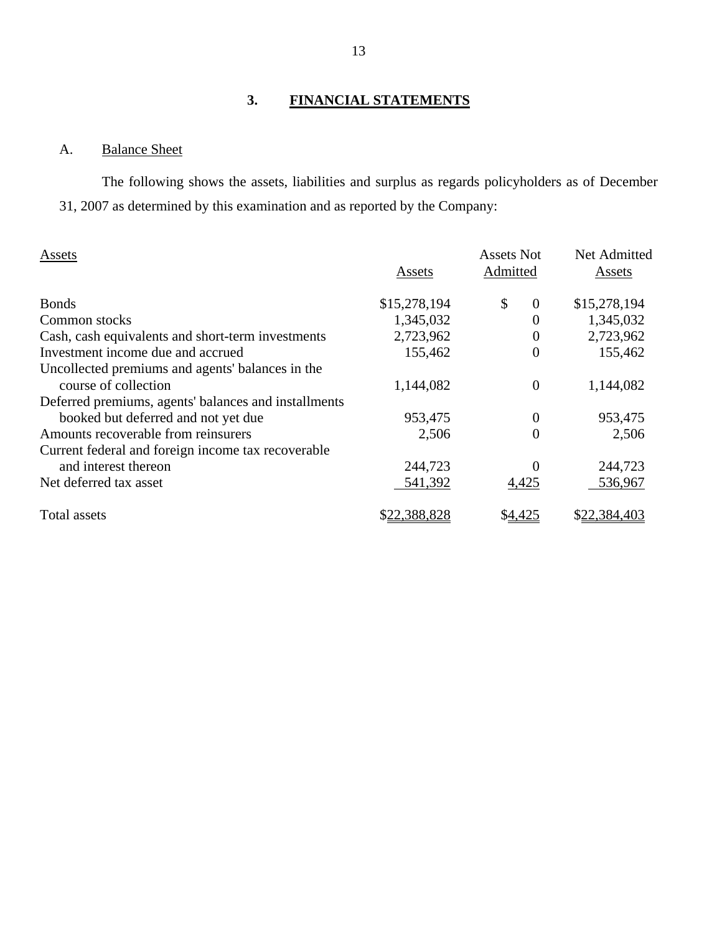# **3. FINANCIAL STATEMENTS**

# A. Balance Sheet

The following shows the assets, liabilities and surplus as regards policyholders as of December 31, 2007 as determined by this examination and as reported by the Company:

| Assets                                               | Assets       | <b>Assets Not</b><br>Admitted | Net Admitted<br>Assets |
|------------------------------------------------------|--------------|-------------------------------|------------------------|
| <b>Bonds</b>                                         | \$15,278,194 | \$<br>$\overline{0}$          | \$15,278,194           |
| Common stocks                                        | 1,345,032    | 0                             | 1,345,032              |
| Cash, cash equivalents and short-term investments    | 2,723,962    | $\overline{0}$                | 2,723,962              |
| Investment income due and accrued                    | 155,462      | $\overline{0}$                | 155,462                |
| Uncollected premiums and agents' balances in the     |              |                               |                        |
| course of collection                                 | 1,144,082    | $\overline{0}$                | 1,144,082              |
| Deferred premiums, agents' balances and installments |              |                               |                        |
| booked but deferred and not yet due                  | 953,475      | 0                             | 953,475                |
| Amounts recoverable from reinsurers                  | 2,506        | $\overline{0}$                | 2,506                  |
| Current federal and foreign income tax recoverable   |              |                               |                        |
| and interest thereon                                 | 244,723      | 0                             | 244,723                |
| Net deferred tax asset                               | 541,392      | 4,425                         | 536,967                |
| Total assets                                         | \$22,388,828 | \$ <u>4,425</u>               | \$22,384,403           |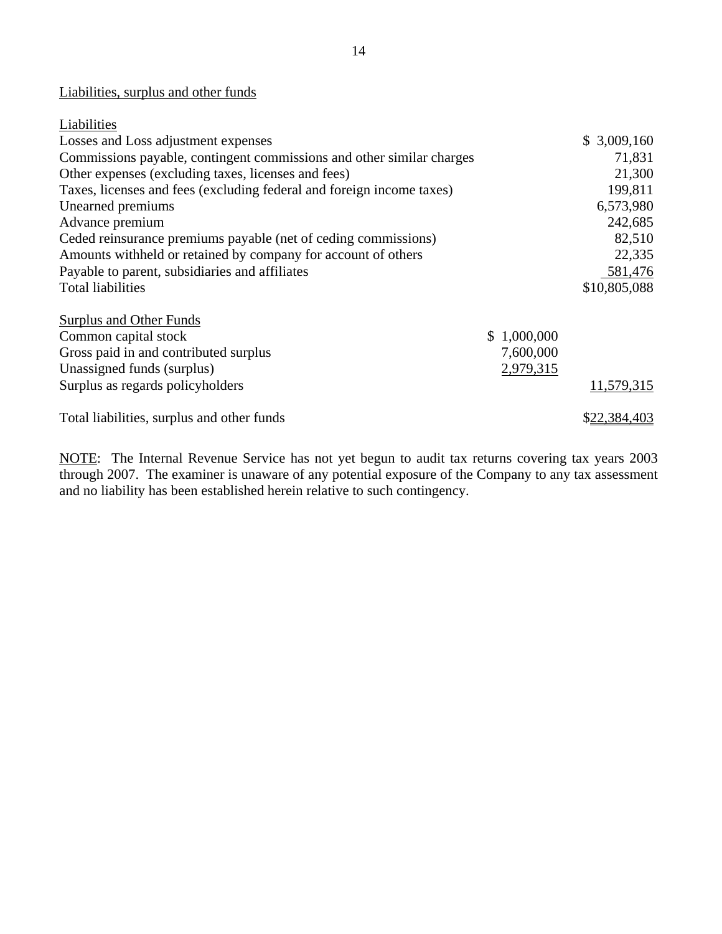# Liabilities, surplus and other funds

| Liabilities                                                           |             |              |
|-----------------------------------------------------------------------|-------------|--------------|
| Losses and Loss adjustment expenses                                   |             | \$3,009,160  |
| Commissions payable, contingent commissions and other similar charges |             | 71,831       |
| Other expenses (excluding taxes, licenses and fees)                   |             | 21,300       |
| Taxes, licenses and fees (excluding federal and foreign income taxes) |             | 199,811      |
| Unearned premiums                                                     |             | 6,573,980    |
| Advance premium                                                       |             | 242,685      |
| Ceded reinsurance premiums payable (net of ceding commissions)        |             | 82,510       |
| Amounts withheld or retained by company for account of others         |             | 22,335       |
| Payable to parent, subsidiaries and affiliates                        |             | 581,476      |
| <b>Total liabilities</b>                                              |             | \$10,805,088 |
| Surplus and Other Funds                                               |             |              |
| Common capital stock                                                  | \$1,000,000 |              |
| Gross paid in and contributed surplus                                 | 7,600,000   |              |
| Unassigned funds (surplus)                                            | 2,979,315   |              |
| Surplus as regards policyholders                                      |             | 11,579,315   |
| Total liabilities, surplus and other funds                            |             | \$22,384,403 |

NOTE: The Internal Revenue Service has not yet begun to audit tax returns covering tax years 2003 through 2007. The examiner is unaware of any potential exposure of the Company to any tax assessment and no liability has been established herein relative to such contingency.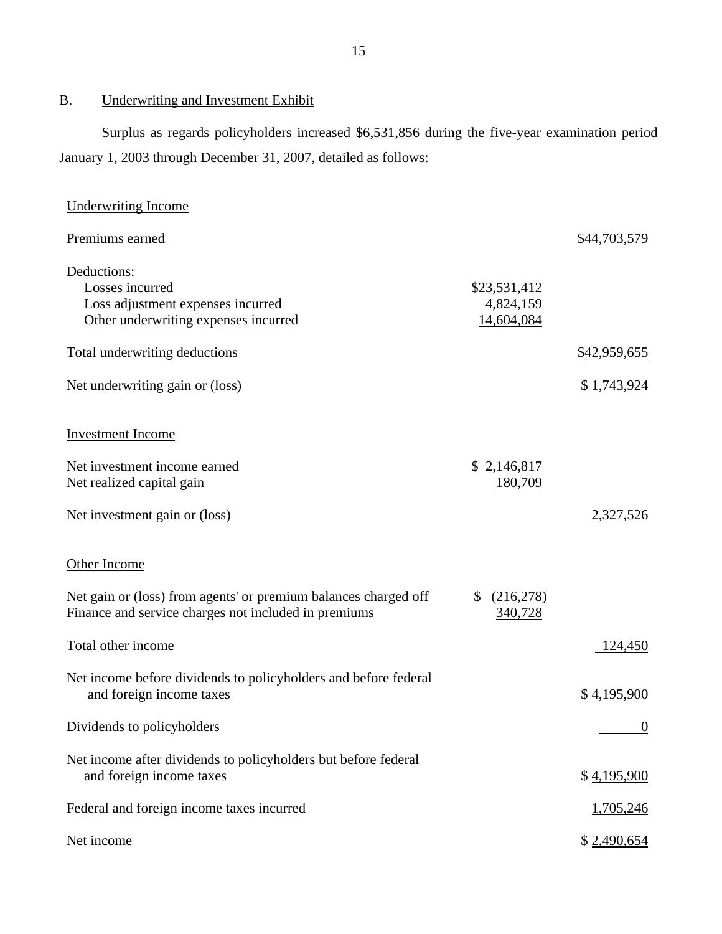B. Underwriting and Investment Exhibit

Surplus as regards policyholders increased \$6,531,856 during the five-year examination period January 1, 2003 through December 31, 2007, detailed as follows:

| <b>Underwriting Income</b>                                                                                              |                                         |                |
|-------------------------------------------------------------------------------------------------------------------------|-----------------------------------------|----------------|
| Premiums earned                                                                                                         |                                         | \$44,703,579   |
| Deductions:<br>Losses incurred<br>Loss adjustment expenses incurred<br>Other underwriting expenses incurred             | \$23,531,412<br>4,824,159<br>14,604,084 |                |
| Total underwriting deductions                                                                                           |                                         | \$42,959,655   |
| Net underwriting gain or (loss)                                                                                         |                                         | \$1,743,924    |
| <b>Investment Income</b>                                                                                                |                                         |                |
| Net investment income earned<br>Net realized capital gain                                                               | \$2,146,817<br>180,709                  |                |
| Net investment gain or (loss)                                                                                           |                                         | 2,327,526      |
| Other Income                                                                                                            |                                         |                |
| Net gain or (loss) from agents' or premium balances charged off<br>Finance and service charges not included in premiums | \$<br>(216,278)<br>340,728              |                |
| Total other income                                                                                                      |                                         | 124,450        |
| Net income before dividends to policyholders and before federal<br>and foreign income taxes                             |                                         | \$4,195,900    |
| Dividends to policyholders                                                                                              |                                         | $\overline{0}$ |
| Net income after dividends to policyholders but before federal<br>and foreign income taxes                              |                                         | \$4,195,900    |
| Federal and foreign income taxes incurred                                                                               |                                         | 1,705,246      |
| Net income                                                                                                              |                                         | \$2,490,654    |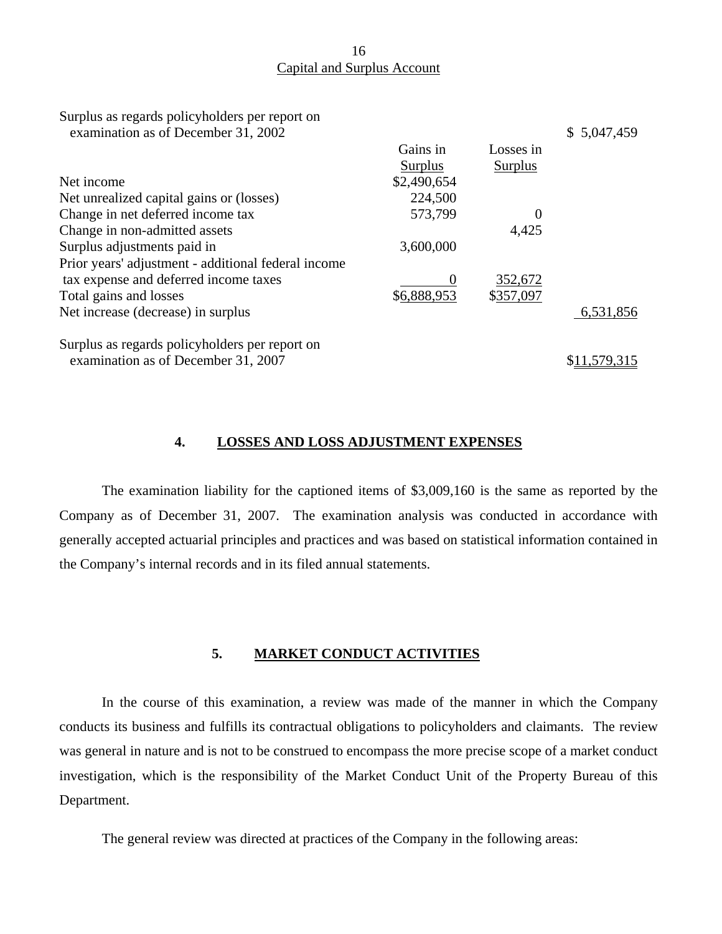## 16 Capital and Surplus Account

| Surplus as regards policyholders per report on<br>examination as of December 31, 2002 |             |           | \$5,047,459 |
|---------------------------------------------------------------------------------------|-------------|-----------|-------------|
|                                                                                       | Gains in    | Losses in |             |
|                                                                                       | Surplus     | Surplus   |             |
| Net income                                                                            | \$2,490,654 |           |             |
| Net unrealized capital gains or (losses)                                              | 224,500     |           |             |
| Change in net deferred income tax                                                     | 573,799     |           |             |
| Change in non-admitted assets                                                         |             | 4,425     |             |
| Surplus adjustments paid in                                                           | 3,600,000   |           |             |
| Prior years' adjustment - additional federal income                                   |             |           |             |
| tax expense and deferred income taxes                                                 | O           | 352,672   |             |
| Total gains and losses                                                                | \$6,888,953 | \$357,097 |             |
| Net increase (decrease) in surplus                                                    |             |           | 6,531,856   |
| Surplus as regards policyholders per report on                                        |             |           |             |
| examination as of December 31, 2007                                                   |             |           |             |

#### **4. LOSSES AND LOSS ADJUSTMENT EXPENSES**

The examination liability for the captioned items of \$3,009,160 is the same as reported by the Company as of December 31, 2007. The examination analysis was conducted in accordance with generally accepted actuarial principles and practices and was based on statistical information contained in the Company's internal records and in its filed annual statements.

#### **5. MARKET CONDUCT ACTIVITIES**

In the course of this examination, a review was made of the manner in which the Company conducts its business and fulfills its contractual obligations to policyholders and claimants. The review was general in nature and is not to be construed to encompass the more precise scope of a market conduct investigation, which is the responsibility of the Market Conduct Unit of the Property Bureau of this Department.

The general review was directed at practices of the Company in the following areas: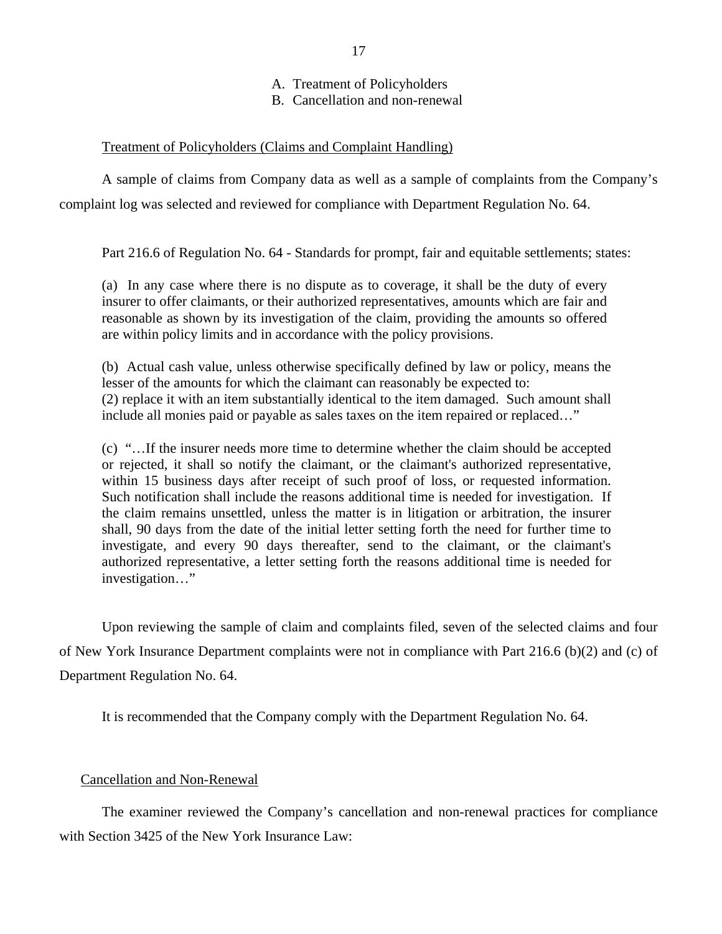A. Treatment of Policyholders

B. Cancellation and non-renewal

# Treatment of Policyholders (Claims and Complaint Handling)

A sample of claims from Company data as well as a sample of complaints from the Company's complaint log was selected and reviewed for compliance with Department Regulation No. 64.

Part 216.6 of Regulation No. 64 - Standards for prompt, fair and equitable settlements; states:

(a) In any case where there is no dispute as to coverage, it shall be the duty of every insurer to offer claimants, or their authorized representatives, amounts which are fair and reasonable as shown by its investigation of the claim, providing the amounts so offered are within policy limits and in accordance with the policy provisions.

(b) Actual cash value, unless otherwise specifically defined by law or policy, means the lesser of the amounts for which the claimant can reasonably be expected to: (2) replace it with an item substantially identical to the item damaged. Such amount shall include all monies paid or payable as sales taxes on the item repaired or replaced…"

(c) "…If the insurer needs more time to determine whether the claim should be accepted or rejected, it shall so notify the claimant, or the claimant's authorized representative, within 15 business days after receipt of such proof of loss, or requested information. Such notification shall include the reasons additional time is needed for investigation. If the claim remains unsettled, unless the matter is in litigation or arbitration, the insurer shall, 90 days from the date of the initial letter setting forth the need for further time to investigate, and every 90 days thereafter, send to the claimant, or the claimant's authorized representative, a letter setting forth the reasons additional time is needed for investigation…"

Upon reviewing the sample of claim and complaints filed, seven of the selected claims and four of New York Insurance Department complaints were not in compliance with Part 216.6 (b)(2) and (c) of Department Regulation No. 64.

It is recommended that the Company comply with the Department Regulation No. 64.

### Cancellation and Non-Renewal

The examiner reviewed the Company's cancellation and non-renewal practices for compliance with Section 3425 of the New York Insurance Law: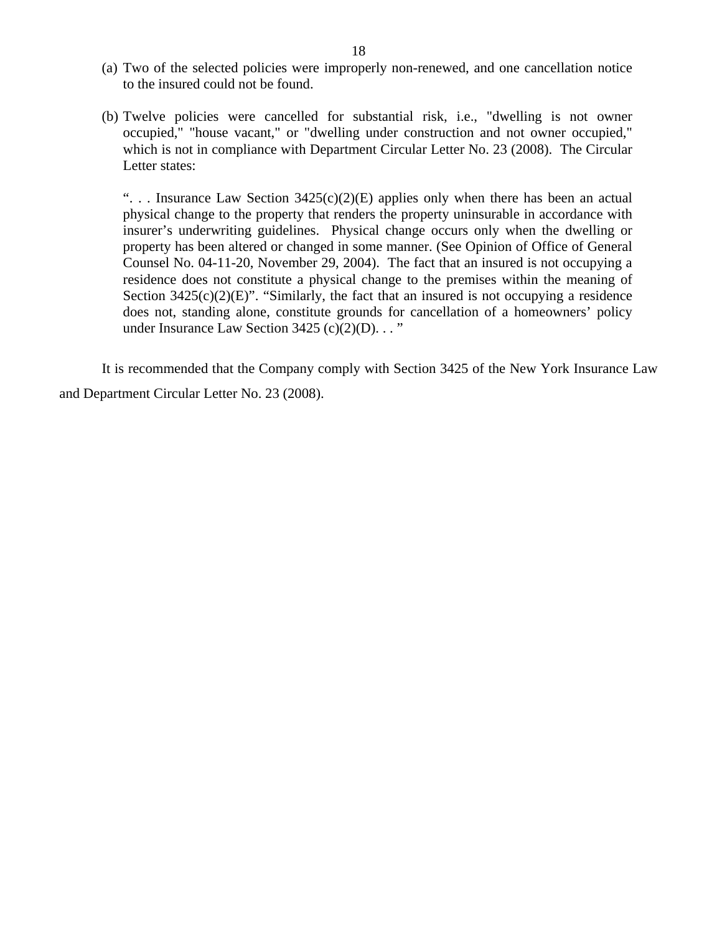- (a) Two of the selected policies were improperly non-renewed, and one cancellation notice to the insured could not be found.
- (b) Twelve policies were cancelled for substantial risk, i.e., "dwelling is not owner occupied," "house vacant," or "dwelling under construction and not owner occupied," which is not in compliance with Department Circular Letter No. 23 (2008). The Circular Letter states:

"... Insurance Law Section  $3425(c)(2)(E)$  applies only when there has been an actual physical change to the property that renders the property uninsurable in accordance with insurer's underwriting guidelines. Physical change occurs only when the dwelling or property has been altered or changed in some manner. (See Opinion of Office of General Counsel No. 04-11-20, November 29, 2004). The fact that an insured is not occupying a residence does not constitute a physical change to the premises within the meaning of Section  $3425(c)(2)(E)$ ". "Similarly, the fact that an insured is not occupying a residence does not, standing alone, constitute grounds for cancellation of a homeowners' policy under Insurance Law Section  $3425$  (c)(2)(D)..."

It is recommended that the Company comply with Section 3425 of the New York Insurance Law and Department Circular Letter No. 23 (2008).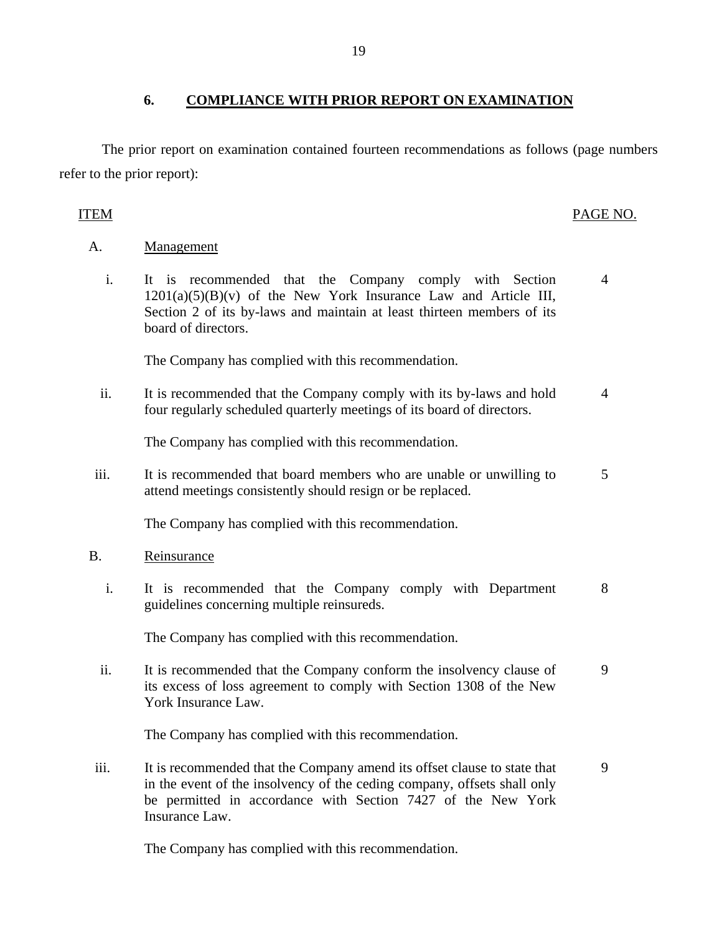# **6. COMPLIANCE WITH PRIOR REPORT ON EXAMINATION**

The prior report on examination contained fourteen recommendations as follows (page numbers refer to the prior report):

### ITEM PAGE NO.

#### A. Management

 i. It is recommended that the Company comply with Section  $1201(a)(5)(B)(v)$  of the New York Insurance Law and Article III, Section 2 of its by-laws and maintain at least thirteen members of its board of directors. 4

The Company has complied with this recommendation.

ii. It is recommended that the Company comply with its by-laws and hold four regularly scheduled quarterly meetings of its board of directors. 4

The Company has complied with this recommendation.

iii. It is recommended that board members who are unable or unwilling to attend meetings consistently should resign or be replaced. 5

The Company has complied with this recommendation.

#### B. Reinsurance

 i. It is recommended that the Company comply with Department guidelines concerning multiple reinsureds. 8

The Company has complied with this recommendation.

ii. It is recommended that the Company conform the insolvency clause of its excess of loss agreement to comply with Section 1308 of the New York Insurance Law. 9

The Company has complied with this recommendation.

iii. It is recommended that the Company amend its offset clause to state that in the event of the insolvency of the ceding company, offsets shall only be permitted in accordance with Section 7427 of the New York Insurance Law. 9

The Company has complied with this recommendation.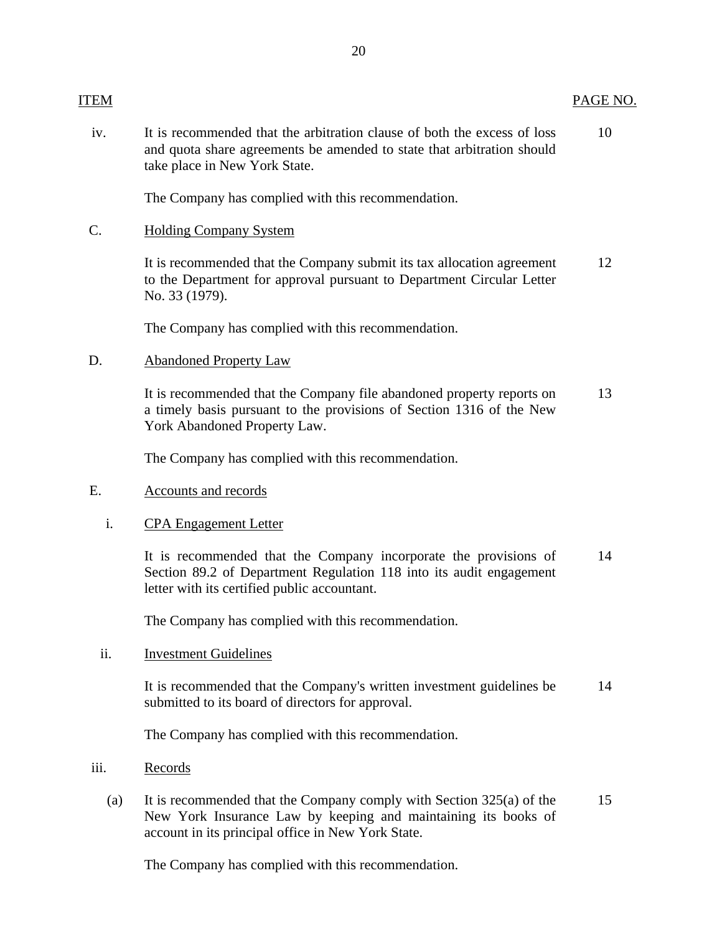iv. It is recommended that the arbitration clause of both the excess of loss 10 and quota share agreements be amended to state that arbitration should take place in New York State.

The Company has complied with this recommendation.

#### C. Holding Company System

It is recommended that the Company submit its tax allocation agreement 12 to the Department for approval pursuant to Department Circular Letter No. 33 (1979).

The Company has complied with this recommendation.

#### D. Abandoned Property Law

It is recommended that the Company file abandoned property reports on 13 a timely basis pursuant to the provisions of Section 1316 of the New York Abandoned Property Law.

The Company has complied with this recommendation.

#### E. Accounts and records

### i. CPA Engagement Letter

It is recommended that the Company incorporate the provisions of 14 Section 89.2 of Department Regulation 118 into its audit engagement letter with its certified public accountant.

The Company has complied with this recommendation.

#### ii. Investment Guidelines

It is recommended that the Company's written investment guidelines be 14 submitted to its board of directors for approval.

The Company has complied with this recommendation.

#### iii. Records

(a) It is recommended that the Company comply with Section 325(a) of the 15 New York Insurance Law by keeping and maintaining its books of account in its principal office in New York State.

The Company has complied with this recommendation.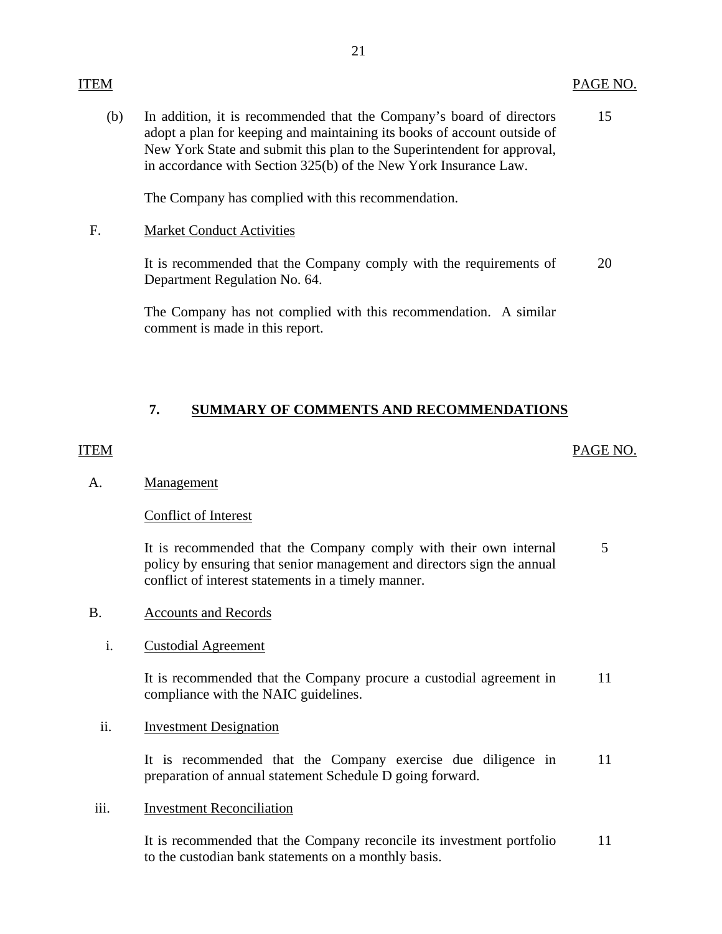### <span id="page-22-0"></span>ITEM PAGE NO.

15 (b) In addition, it is recommended that the Company's board of directors adopt a plan for keeping and maintaining its books of account outside of New York State and submit this plan to the Superintendent for approval, in accordance with Section 325(b) of the New York Insurance Law.

The Company has complied with this recommendation.

### F. Market Conduct Activities

It is recommended that the Company comply with the requirements of 20 Department Regulation No. 64.

The Company has not complied with this recommendation. A similar comment is made in this report.

# **7. SUMMARY OF COMMENTS AND RECOMMENDATIONS**

## ITEM PAGE NO.

### A. Management

### Conflict of Interest

It is recommended that the Company comply with their own internal policy by ensuring that senior management and directors sign the annual conflict of interest statements in a timely manner. 5

### B. Accounts and Records

### i. Custodial Agreement

It is recommended that the Company procure a custodial agreement in 11 compliance with the NAIC guidelines.

### ii. Investment Designation

It is recommended that the Company exercise due diligence in preparation of annual statement Schedule D going forward. 11

### iii. Investment Reconciliation

It is recommended that the Company reconcile its investment portfolio 11 to the custodian bank statements on a monthly basis.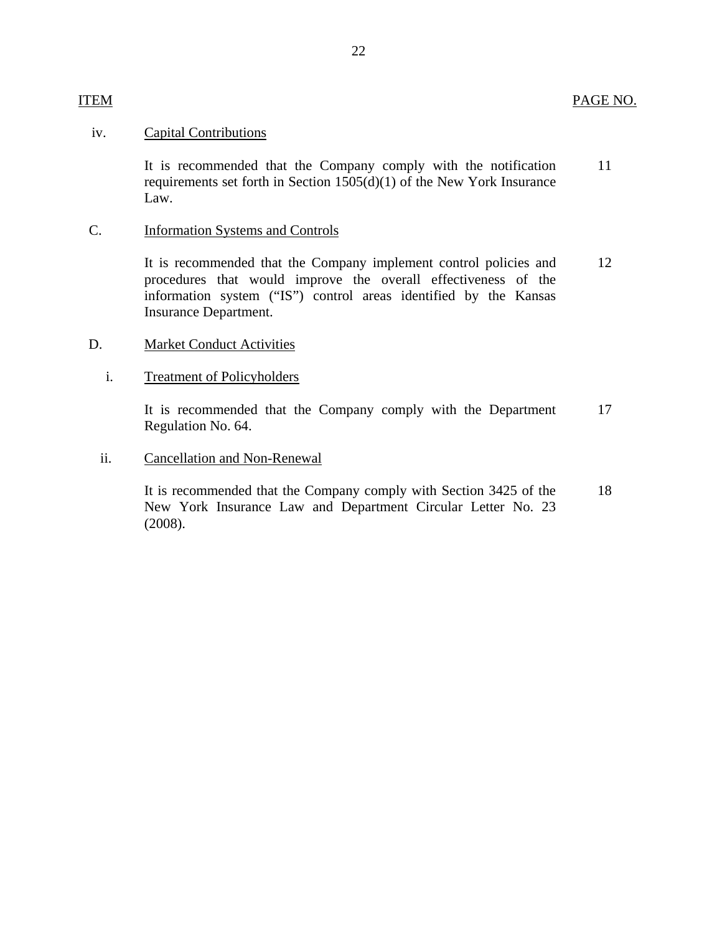### iv. Capital Contributions

It is recommended that the Company comply with the notification 11 requirements set forth in Section 1505(d)(1) of the New York Insurance Law.

# C. Information Systems and Controls

It is recommended that the Company implement control policies and 12 procedures that would improve the overall effectiveness of the information system ("IS") control areas identified by the Kansas Insurance Department.

#### D. Market Conduct Activities

#### i. Treatment of Policyholders

It is recommended that the Company comply with the Department 17 Regulation No. 64.

#### ii. Cancellation and Non-Renewal

It is recommended that the Company comply with Section 3425 of the 18 New York Insurance Law and Department Circular Letter No. 23 (2008).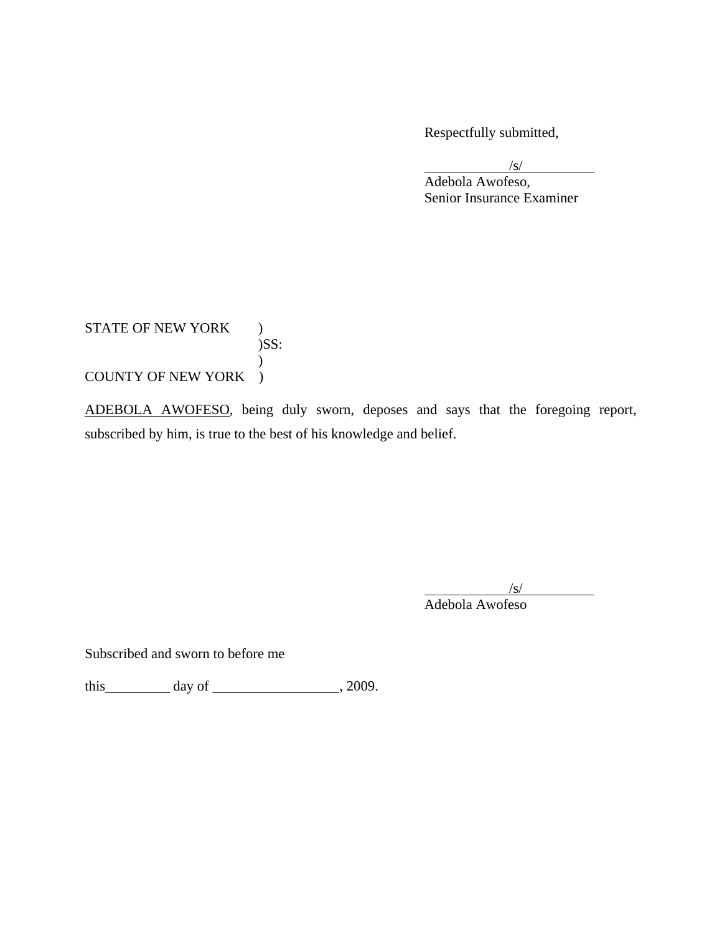Respectfully submitted,

 $\frac{1}{\sqrt{S}}$  Adebola Awofeso, Senior Insurance Examiner

STATE OF NEW YORK ) )SS:  $\mathcal{L}$ COUNTY OF NEW YORK )

ADEBOLA AWOFESO, being duly sworn, deposes and says that the foregoing report, subscribed by him, is true to the best of his knowledge and belief.

 $\sqrt{s}$ /s/ Adebola Awofeso

Subscribed and sworn to before me

this  $\_\_\_\_\_\$  day of  $\_\_\_\_\_\_\_\_\_\$ , 2009.